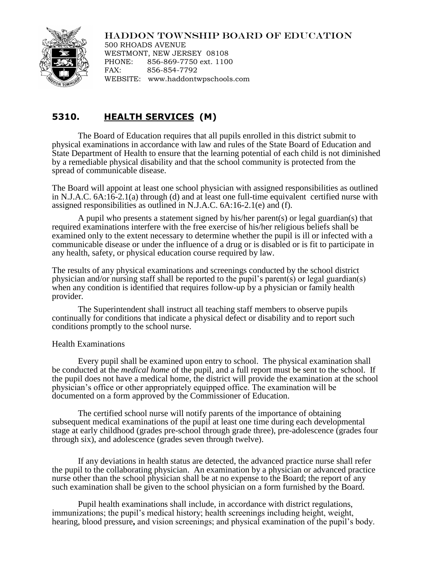# HADDON TOWNSHIP BOARD OF EDUCATION



500 RHOADS AVENUE WESTMONT, NEW JERSEY 08108 PHONE: 856-869-7750 ext. 1100 FAX: 856-854-7792 WEBSITE: www.haddontwpschools.com

# **5310. HEALTH SERVICES (M)**

The Board of Education requires that all pupils enrolled in this district submit to physical examinations in accordance with law and rules of the State Board of Education and State Department of Health to ensure that the learning potential of each child is not diminished by a remediable physical disability and that the school community is protected from the spread of communicable disease.

The Board will appoint at least one school physician with assigned responsibilities as outlined in N.J.A.C. 6A:16-2.1(a) through (d) and at least one full-time equivalent certified nurse with assigned responsibilities as outlined in N.J.A.C. 6A:16-2.1(e) and (f).

A pupil who presents a statement signed by his/her parent(s) or legal guardian(s) that required examinations interfere with the free exercise of his/her religious beliefs shall be examined only to the extent necessary to determine whether the pupil is ill or infected with a communicable disease or under the influence of a drug or is disabled or is fit to participate in any health, safety, or physical education course required by law.

The results of any physical examinations and screenings conducted by the school district physician and/or nursing staff shall be reported to the pupil's parent(s) or legal guardian(s) when any condition is identified that requires follow-up by a physician or family health provider.

The Superintendent shall instruct all teaching staff members to observe pupils continually for conditions that indicate a physical defect or disability and to report such conditions promptly to the school nurse.

## Health Examinations

Every pupil shall be examined upon entry to school. The physical examination shall be conducted at the *medical home* of the pupil, and a full report must be sent to the school. If the pupil does not have a medical home, the district will provide the examination at the school physician's office or other appropriately equipped office. The examination will be documented on a form approved by the Commissioner of Education.

The certified school nurse will notify parents of the importance of obtaining subsequent medical examinations of the pupil at least one time during each developmental stage at early childhood (grades pre-school through grade three), pre-adolescence (grades four through six), and adolescence (grades seven through twelve).

If any deviations in health status are detected, the advanced practice nurse shall refer the pupil to the collaborating physician.An examination by a physician or advanced practice nurse other than the school physician shall be at no expense to the Board; the report of any such examination shall be given to the school physician on a form furnished by the Board.

Pupil health examinations shall include, in accordance with district regulations, immunizations; the pupil's medical history; health screenings including height, weight, hearing, blood pressure**,** and vision screenings; and physical examination of the pupil's body.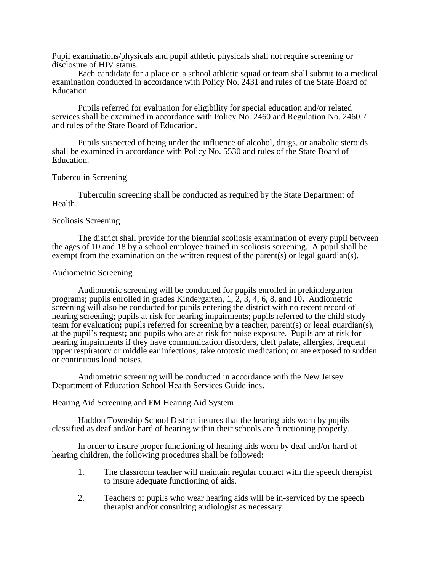Pupil examinations/physicals and pupil athletic physicals shall not require screening or disclosure of HIV status.

Each candidate for a place on a school athletic squad or team shall submit to a medical examination conducted in accordance with Policy No. 2431 and rules of the State Board of Education.

Pupils referred for evaluation for eligibility for special education and/or related services shall be examined in accordance with Policy No. 2460 and Regulation No. 2460.7 and rules of the State Board of Education.

Pupils suspected of being under the influence of alcohol, drugs, or anabolic steroids shall be examined in accordance with Policy No. 5530 and rules of the State Board of Education.

#### Tuberculin Screening

Tuberculin screening shall be conducted as required by the State Department of Health.

#### Scoliosis Screening

The district shall provide for the biennial scoliosis examination of every pupil between the ages of 10 and 18 by a school employee trained in scoliosis screening. A pupil shall be exempt from the examination on the written request of the parent(s) or legal guardian(s).

#### Audiometric Screening

Audiometric screening will be conducted for pupils enrolled in prekindergarten programs; pupils enrolled in grades Kindergarten, 1, 2, 3, 4, 6, 8, and 10**.** Audiometric screening will also be conducted for pupils entering the district with no recent record of hearing screening; pupils at risk for hearing impairments; pupils referred to the child study team for evaluation**;** pupils referred for screening by a teacher, parent(s) or legal guardian(s), at the pupil's request**;** and pupils who are at risk for noise exposure. Pupils are at risk for hearing impairments if they have communication disorders, cleft palate, allergies, frequent upper respiratory or middle ear infections; take ototoxic medication; or are exposed to sudden or continuous loud noises.

Audiometric screening will be conducted in accordance with the New Jersey Department of Education School Health Services Guidelines**.**

# Hearing Aid Screening and FM Hearing Aid System

Haddon Township School District insures that the hearing aids worn by pupils classified as deaf and/or hard of hearing within their schools are functioning properly.

In order to insure proper functioning of hearing aids worn by deaf and/or hard of hearing children, the following procedures shall be followed:

- 1. The classroom teacher will maintain regular contact with the speech therapist to insure adequate functioning of aids.
- 2. Teachers of pupils who wear hearing aids will be in-serviced by the speech therapist and/or consulting audiologist as necessary.